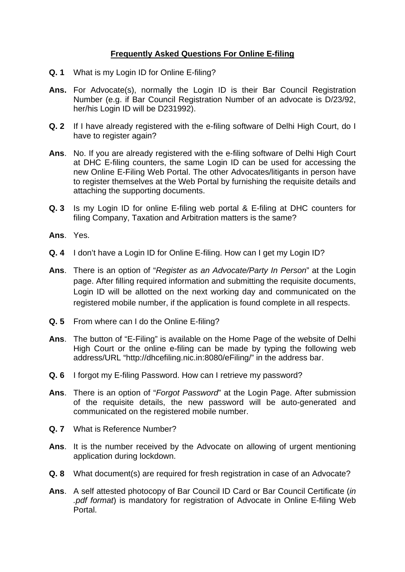## **Frequently Asked Questions For Online E-filing**

- **Q. 1** What is my Login ID for Online E-filing?
- **Ans.** For Advocate(s), normally the Login ID is their Bar Council Registration Number (e.g. if Bar Council Registration Number of an advocate is D/23/92, her/his Login ID will be D231992).
- **Q. 2** If I have already registered with the e-filing software of Delhi High Court, do I have to register again?
- **Ans**. No. If you are already registered with the e-filing software of Delhi High Court at DHC E-filing counters, the same Login ID can be used for accessing the new Online E-Filing Web Portal. The other Advocates/litigants in person have to register themselves at the Web Portal by furnishing the requisite details and attaching the supporting documents.
- **Q. 3** Is my Login ID for online E-filing web portal & E-filing at DHC counters for filing Company, Taxation and Arbitration matters is the same?
- **Ans**. Yes.
- **Q. 4** I don't have a Login ID for Online E-filing. How can I get my Login ID?
- **Ans**. There is an option of "*Register as an Advocate/Party In Person*" at the Login page. After filling required information and submitting the requisite documents, Login ID will be allotted on the next working day and communicated on the registered mobile number, if the application is found complete in all respects.
- **Q. 5** From where can I do the Online E-filing?
- **Ans**. The button of "E-Filing" is available on the Home Page of the website of Delhi High Court or the online e-filing can be made by typing the following web address/URL "http://dhcefiling.nic.in:8080/eFiling/" in the address bar.
- **Q. 6** I forgot my E-filing Password. How can I retrieve my password?
- **Ans**. There is an option of "*Forgot Password*" at the Login Page. After submission of the requisite details, the new password will be auto-generated and communicated on the registered mobile number.
- **Q. 7** What is Reference Number?
- **Ans**. It is the number received by the Advocate on allowing of urgent mentioning application during lockdown.
- **Q. 8** What document(s) are required for fresh registration in case of an Advocate?
- **Ans**. A self attested photocopy of Bar Council ID Card or Bar Council Certificate (*in .pdf format*) is mandatory for registration of Advocate in Online E-filing Web Portal.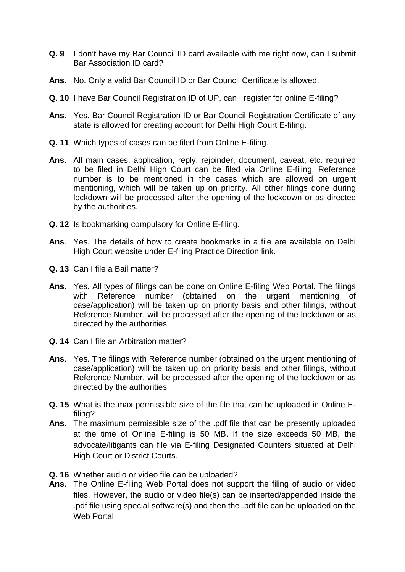- **Q. 9** I don't have my Bar Council ID card available with me right now, can I submit Bar Association ID card?
- **Ans**. No. Only a valid Bar Council ID or Bar Council Certificate is allowed.
- **Q. 10** I have Bar Council Registration ID of UP, can I register for online E-filing?
- **Ans**. Yes. Bar Council Registration ID or Bar Council Registration Certificate of any state is allowed for creating account for Delhi High Court E-filing.
- **Q. 11** Which types of cases can be filed from Online E-filing.
- **Ans**. All main cases, application, reply, rejoinder, document, caveat, etc. required to be filed in Delhi High Court can be filed via Online E-filing. Reference number is to be mentioned in the cases which are allowed on urgent mentioning, which will be taken up on priority. All other filings done during lockdown will be processed after the opening of the lockdown or as directed by the authorities.
- **Q. 12** Is bookmarking compulsory for Online E-filing.
- **Ans**. Yes. The details of how to create bookmarks in a file are available on Delhi High Court website under E-filing Practice Direction link.
- **Q. 13** Can I file a Bail matter?
- **Ans**. Yes. All types of filings can be done on Online E-filing Web Portal. The filings with Reference number (obtained on the urgent mentioning of case/application) will be taken up on priority basis and other filings, without Reference Number, will be processed after the opening of the lockdown or as directed by the authorities.
- **Q. 14** Can I file an Arbitration matter?
- **Ans**. Yes. The filings with Reference number (obtained on the urgent mentioning of case/application) will be taken up on priority basis and other filings, without Reference Number, will be processed after the opening of the lockdown or as directed by the authorities.
- **Q. 15** What is the max permissible size of the file that can be uploaded in Online Efiling?
- **Ans**. The maximum permissible size of the .pdf file that can be presently uploaded at the time of Online E-filing is 50 MB. If the size exceeds 50 MB, the advocate/litigants can file via E-filing Designated Counters situated at Delhi High Court or District Courts.
- **Q. 16** Whether audio or video file can be uploaded?
- **Ans**. The Online E-filing Web Portal does not support the filing of audio or video files. However, the audio or video file(s) can be inserted/appended inside the .pdf file using special software(s) and then the .pdf file can be uploaded on the Web Portal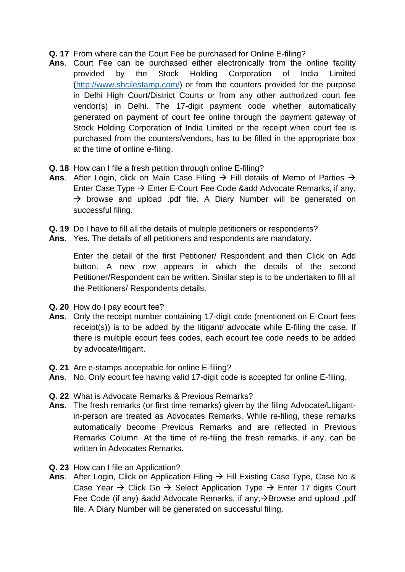- **Q. 17** From where can the Court Fee be purchased for Online E-filing?
- **Ans**. Court Fee can be purchased either electronically from the online facility provided by the Stock Holding Corporation of India Limited [\(http://www.shcilestamp.com/\)](http://www.shcilestamp.com/) or from the counters provided for the purpose in Delhi High Court/District Courts or from any other authorized court fee vendor(s) in Delhi. The 17-digit payment code whether automatically generated on payment of court fee online through the payment gateway of Stock Holding Corporation of India Limited or the receipt when court fee is purchased from the counters/vendors, has to be filled in the appropriate box at the time of online e-filing.
- **Q. 18** How can I file a fresh petition through online E-filing?
- Ans. After Login, click on Main Case Filing  $\rightarrow$  Fill details of Memo of Parties  $\rightarrow$ Enter Case Type  $\rightarrow$  Enter E-Court Fee Code &add Advocate Remarks, if any,  $\rightarrow$  browse and upload .pdf file. A Diary Number will be generated on successful filing.
- **Q. 19** Do I have to fill all the details of multiple petitioners or respondents?
- **Ans**. Yes. The details of all petitioners and respondents are mandatory.

Enter the detail of the first Petitioner/ Respondent and then Click on Add button. A new row appears in which the details of the second Petitioner/Respondent can be written. Similar step is to be undertaken to fill all the Petitioners/ Respondents details.

- **Q. 20** How do I pay ecourt fee?
- **Ans**. Only the receipt number containing 17-digit code (mentioned on E-Court fees receipt(s)) is to be added by the litigant/ advocate while E-filing the case. If there is multiple ecourt fees codes, each ecourt fee code needs to be added by advocate/litigant.
- **Q. 21** Are e-stamps acceptable for online E-filing?
- **Ans**. No. Only ecourt fee having valid 17-digit code is accepted for online E-filing.
- **Q. 22** What is Advocate Remarks & Previous Remarks?
- **Ans**. The fresh remarks (or first time remarks) given by the filing Advocate/Litigantin-person are treated as Advocates Remarks. While re-filing, these remarks automatically become Previous Remarks and are reflected in Previous Remarks Column. At the time of re-filing the fresh remarks, if any, can be written in Advocates Remarks.
- **Q. 23** How can I file an Application?
- Ans. After Login, Click on Application Filing → Fill Existing Case Type, Case No & Case Year  $\rightarrow$  Click Go  $\rightarrow$  Select Application Type  $\rightarrow$  Enter 17 digits Court Fee Code (if any) &add Advocate Remarks, if any, >Browse and upload .pdf file. A Diary Number will be generated on successful filing.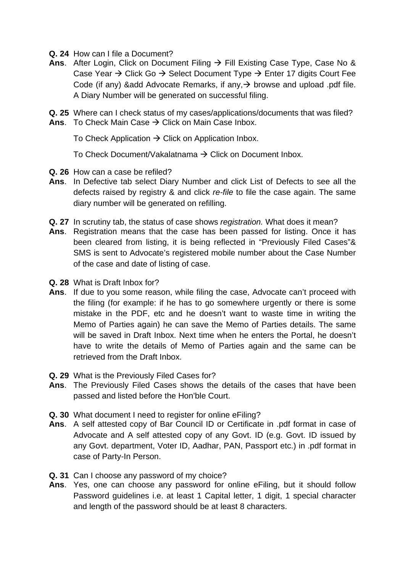- **Q. 24** How can I file a Document?
- Ans. After Login, Click on Document Filing → Fill Existing Case Type, Case No & Case Year  $\rightarrow$  Click Go  $\rightarrow$  Select Document Type  $\rightarrow$  Enter 17 digits Court Fee Code (if any) & add Advocate Remarks, if any,  $\rightarrow$  browse and upload .pdf file. A Diary Number will be generated on successful filing.

**Q. 25** Where can I check status of my cases/applications/documents that was filed? **Ans.** To Check Main Case  $\rightarrow$  Click on Main Case Inbox.

To Check Application  $\rightarrow$  Click on Application Inbox.

To Check Document/Vakalatnama  $\rightarrow$  Click on Document Inbox.

- **Q. 26** How can a case be refiled?
- **Ans**. In Defective tab select Diary Number and click List of Defects to see all the defects raised by registry & and click *re-file* to file the case again. The same diary number will be generated on refilling.
- **Q. 27** In scrutiny tab, the status of case shows *registration.* What does it mean?
- **Ans**. Registration means that the case has been passed for listing. Once it has been cleared from listing, it is being reflected in "Previously Filed Cases"& SMS is sent to Advocate's registered mobile number about the Case Number of the case and date of listing of case.
- **Q. 28** What is Draft Inbox for?
- **Ans**. If due to you some reason, while filing the case, Advocate can't proceed with the filing (for example: if he has to go somewhere urgently or there is some mistake in the PDF, etc and he doesn't want to waste time in writing the Memo of Parties again) he can save the Memo of Parties details. The same will be saved in Draft Inbox. Next time when he enters the Portal, he doesn't have to write the details of Memo of Parties again and the same can be retrieved from the Draft Inbox.
- **Q. 29** What is the Previously Filed Cases for?
- **Ans**. The Previously Filed Cases shows the details of the cases that have been passed and listed before the Hon'ble Court.
- **Q. 30** What document I need to register for online eFiling?
- **Ans**. A self attested copy of Bar Council ID or Certificate in .pdf format in case of Advocate and A self attested copy of any Govt. ID (e.g. Govt. ID issued by any Govt. department, Voter ID, Aadhar, PAN, Passport etc.) in .pdf format in case of Party-In Person.
- **Q. 31** Can I choose any password of my choice?
- **Ans**. Yes, one can choose any password for online eFiling, but it should follow Password guidelines i.e. at least 1 Capital letter, 1 digit, 1 special character and length of the password should be at least 8 characters.